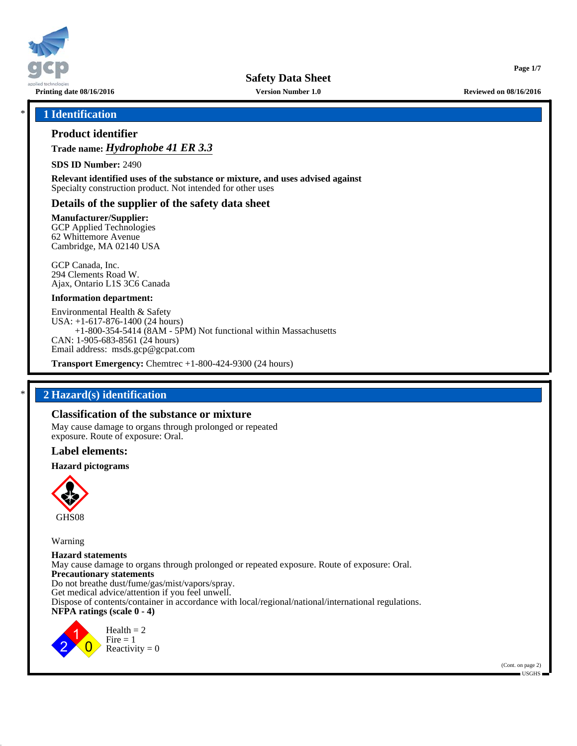

**Printing date 08/16/2016 Version Number 1.0 Reviewed on 08/16/2016**

**Page 1/7**

## \* **1 Identification**

# **Product identifier**

# **Trade name:** *Hydrophobe 41 ER 3.3*

**SDS ID Number:** 2490

**Relevant identified uses of the substance or mixture, and uses advised against** Specialty construction product. Not intended for other uses

### **Details of the supplier of the safety data sheet**

**Manufacturer/Supplier:**

GCP Applied Technologies 62 Whittemore Avenue Cambridge, MA 02140 USA

GCP Canada, Inc. 294 Clements Road W. Ajax, Ontario L1S 3C6 Canada

#### **Information department:**

Environmental Health & Safety USA: +1-617-876-1400 (24 hours) +1-800-354-5414 (8AM - 5PM) Not functional within Massachusetts CAN: 1-905-683-8561 (24 hours) Email address: msds.gcp@gcpat.com

**Transport Emergency:** Chemtrec +1-800-424-9300 (24 hours)

## \* **2 Hazard(s) identification**

### **Classification of the substance or mixture**

May cause damage to organs through prolonged or repeated exposure. Route of exposure: Oral.

#### **Label elements:**

#### **Hazard pictograms**



Warning

**Hazard statements** May cause damage to organs through prolonged or repeated exposure. Route of exposure: Oral. **Precautionary statements** Do not breathe dust/fume/gas/mist/vapors/spray. Get medical advice/attention if you feel unwell. Dispose of contents/container in accordance with local/regional/national/international regulations. **NFPA ratings (scale 0 - 4)**



 $Health = 2$  $Fire = 1$ Reactivity  $= 0$ 

> (Cont. on page 2)  $\blacksquare$  USGHS  $\blacksquare$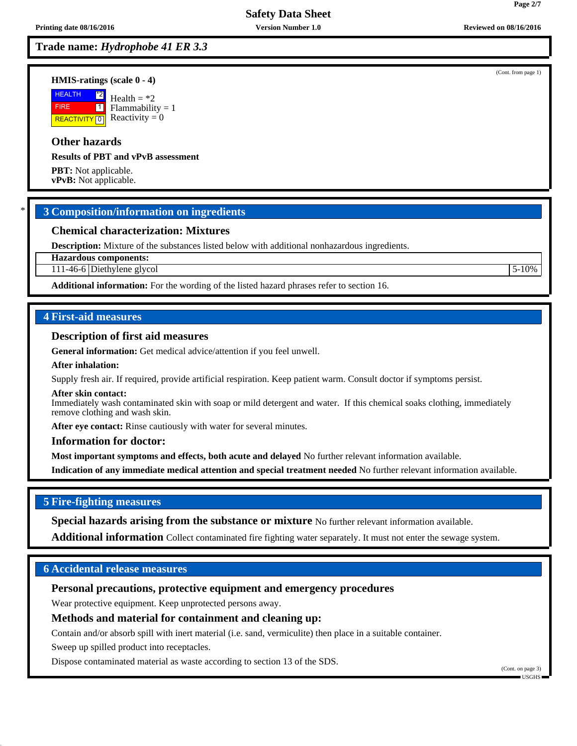# **Trade name:** *Hydrophobe 41 ER 3.3*

#### **HMIS-ratings (scale 0 - 4)**

**HEALTH**  FIRE **REACTIVITY** 0 \*2  $\boxed{1}$ Health  $=$  \*2 Flammability = 1 Reactivity  $= 0$ 

# **Other hazards**

**Results of PBT and vPvB assessment**

**PBT:** Not applicable. **vPvB:** Not applicable.

# \* **3 Composition/information on ingredients**

## **Chemical characterization: Mixtures**

**Description:** Mixture of the substances listed below with additional nonhazardous ingredients.

**Hazardous components:**

111-46-6 Diethylene glycol 5-10%

**Additional information:** For the wording of the listed hazard phrases refer to section 16.

### **4 First-aid measures**

#### **Description of first aid measures**

**General information:** Get medical advice/attention if you feel unwell.

#### **After inhalation:**

Supply fresh air. If required, provide artificial respiration. Keep patient warm. Consult doctor if symptoms persist.

#### **After skin contact:**

Immediately wash contaminated skin with soap or mild detergent and water. If this chemical soaks clothing, immediately remove clothing and wash skin.

**After eye contact:** Rinse cautiously with water for several minutes.

#### **Information for doctor:**

**Most important symptoms and effects, both acute and delayed** No further relevant information available.

**Indication of any immediate medical attention and special treatment needed** No further relevant information available.

## **5 Fire-fighting measures**

**Special hazards arising from the substance or mixture** No further relevant information available.

**Additional information** Collect contaminated fire fighting water separately. It must not enter the sewage system.

# **6 Accidental release measures**

# **Personal precautions, protective equipment and emergency procedures**

Wear protective equipment. Keep unprotected persons away.

## **Methods and material for containment and cleaning up:**

Contain and/or absorb spill with inert material (i.e. sand, vermiculite) then place in a suitable container.

Sweep up spilled product into receptacles.

Dispose contaminated material as waste according to section 13 of the SDS.

(Cont. on page 3) USGHS

(Cont. from page 1)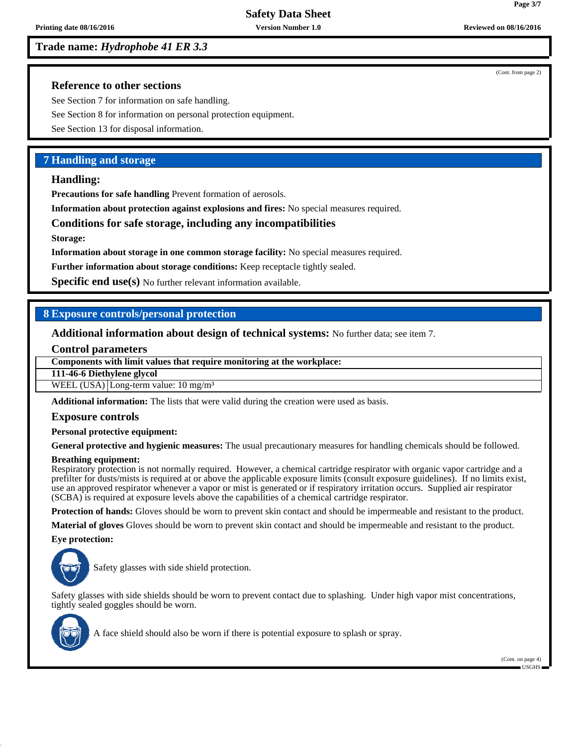# **Trade name:** *Hydrophobe 41 ER 3.3*

(Cont. from page 2)

**Page 3/7**

## **Reference to other sections**

See Section 7 for information on safe handling.

See Section 8 for information on personal protection equipment.

See Section 13 for disposal information.

## **7 Handling and storage**

### **Handling:**

**Precautions for safe handling** Prevent formation of aerosols.

**Information about protection against explosions and fires:** No special measures required.

### **Conditions for safe storage, including any incompatibilities**

**Storage:**

**Information about storage in one common storage facility:** No special measures required.

**Further information about storage conditions:** Keep receptacle tightly sealed.

**Specific end use(s)** No further relevant information available.

## **8 Exposure controls/personal protection**

**Additional information about design of technical systems:** No further data; see item 7.

#### **Control parameters**

**Components with limit values that require monitoring at the workplace:**

**111-46-6 Diethylene glycol**

WEEL  $(USA)$  Long-term value: 10 mg/m<sup>3</sup>

**Additional information:** The lists that were valid during the creation were used as basis.

#### **Exposure controls**

#### **Personal protective equipment:**

**General protective and hygienic measures:** The usual precautionary measures for handling chemicals should be followed.

#### **Breathing equipment:**

Respiratory protection is not normally required. However, a chemical cartridge respirator with organic vapor cartridge and a prefilter for dusts/mists is required at or above the applicable exposure limits (consult exposure guidelines). If no limits exist, use an approved respirator whenever a vapor or mist is generated or if respiratory irritation occurs. Supplied air respirator (SCBA) is required at exposure levels above the capabilities of a chemical cartridge respirator.

**Protection of hands:** Gloves should be worn to prevent skin contact and should be impermeable and resistant to the product.

**Material of gloves** Gloves should be worn to prevent skin contact and should be impermeable and resistant to the product.

#### **Eye protection:**



Safety glasses with side shield protection.

Safety glasses with side shields should be worn to prevent contact due to splashing. Under high vapor mist concentrations, tightly sealed goggles should be worn.



A face shield should also be worn if there is potential exposure to splash or spray.

(Cont. on page 4) USGHS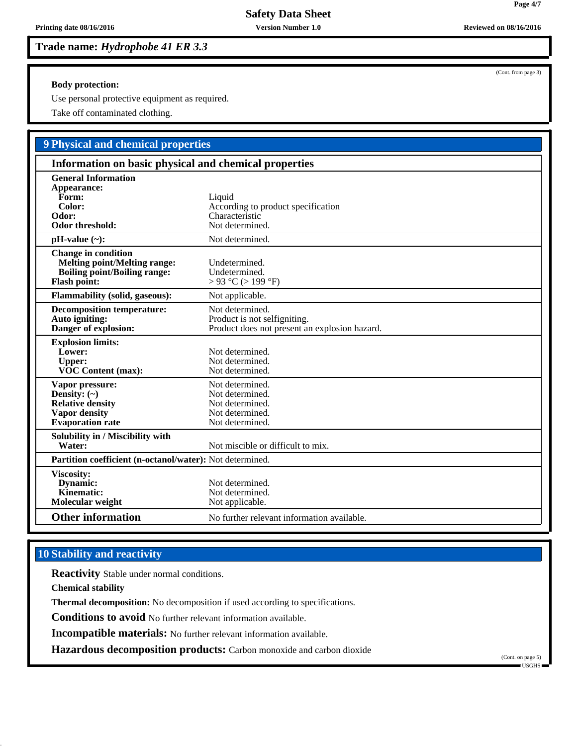**Trade name:** *Hydrophobe 41 ER 3.3*

**Body protection:**

Use personal protective equipment as required.

Take off contaminated clothing.

# **9 Physical and chemical properties**

| Information on basic physical and chemical properties                                                                           |                                                                                                  |  |
|---------------------------------------------------------------------------------------------------------------------------------|--------------------------------------------------------------------------------------------------|--|
| <b>General Information</b><br>Appearance:<br>Form:<br>Color:<br>Odor:<br>Odor threshold:                                        | Liquid<br>According to product specification<br>Characteristic<br>Not determined.                |  |
| $pH-value$ (~):                                                                                                                 | Not determined.                                                                                  |  |
| <b>Change in condition</b><br><b>Melting point/Melting range:</b><br><b>Boiling point/Boiling range:</b><br><b>Flash point:</b> | Undetermined.<br>Undetermined.<br>$> 93$ °C ( $> 199$ °F)                                        |  |
| <b>Flammability (solid, gaseous):</b>                                                                                           | Not applicable.                                                                                  |  |
| <b>Decomposition temperature:</b><br>Auto igniting:<br>Danger of explosion:                                                     | Not determined.<br>Product is not selfigniting.<br>Product does not present an explosion hazard. |  |
| <b>Explosion limits:</b><br>Lower:<br><b>Upper:</b><br>VOC Content (max):                                                       | Not determined.<br>Not determined.<br>Not determined.                                            |  |
| Vapor pressure:<br>Density: $(\sim)$<br><b>Relative density</b><br><b>Vapor density</b><br><b>Evaporation</b> rate              | Not determined.<br>Not determined.<br>Not determined.<br>Not determined.<br>Not determined.      |  |
| Solubility in / Miscibility with<br>Water:                                                                                      | Not miscible or difficult to mix.                                                                |  |
| Partition coefficient (n-octanol/water): Not determined.                                                                        |                                                                                                  |  |
| Viscosity:<br>Dynamic:<br>Kinematic:<br>Molecular weight                                                                        | Not determined.<br>Not determined.<br>Not applicable.                                            |  |
| <b>Other information</b>                                                                                                        | No further relevant information available.                                                       |  |

# **10 Stability and reactivity**

**Reactivity** Stable under normal conditions.

**Chemical stability**

**Thermal decomposition:** No decomposition if used according to specifications.

**Conditions to avoid** No further relevant information available.

**Incompatible materials:** No further relevant information available.

**Hazardous decomposition products:** Carbon monoxide and carbon dioxide

(Cont. on page 5)  $\blacksquare$  USGHS

**Printing date 08/16/2016** *Version Number 1.0* **<b>***Reviewed on 08/16/2016 Reviewed on 08/16/2016* 

(Cont. from page 3)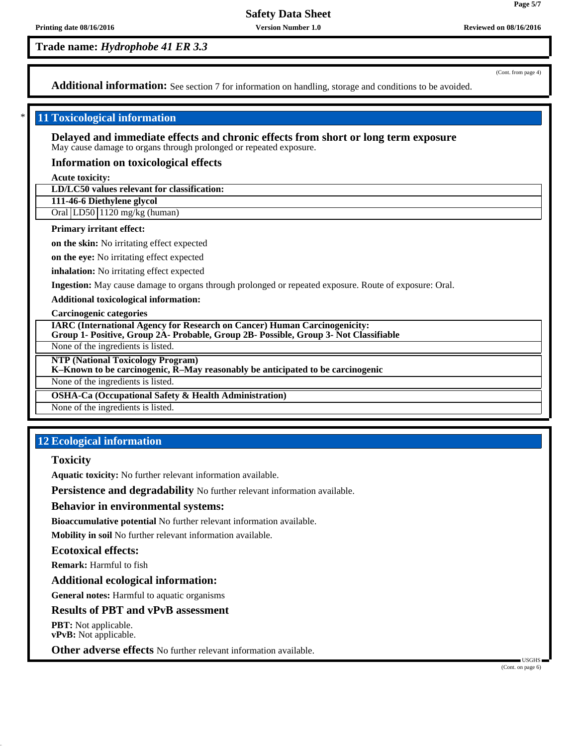**Trade name:** *Hydrophobe 41 ER 3.3*

(Cont. from page 4)

Additional information: See section 7 for information on handling, storage and conditions to be avoided.

## **11 Toxicological information**

**Delayed and immediate effects and chronic effects from short or long term exposure** May cause damage to organs through prolonged or repeated exposure.

## **Information on toxicological effects**

**Acute toxicity:**

**LD/LC50 values relevant for classification:**

**111-46-6 Diethylene glycol**

Oral LD50 1120 mg/kg (human)

### **Primary irritant effect:**

**on the skin:** No irritating effect expected

**on the eye:** No irritating effect expected

**inhalation:** No irritating effect expected

**Ingestion:** May cause damage to organs through prolonged or repeated exposure. Route of exposure: Oral.

**Additional toxicological information:**

**Carcinogenic categories**

**IARC (International Agency for Research on Cancer) Human Carcinogenicity:**

**Group 1- Positive, Group 2A- Probable, Group 2B- Possible, Group 3- Not Classifiable**

None of the ingredients is listed.

**NTP (National Toxicology Program)**

**K–Known to be carcinogenic, R–May reasonably be anticipated to be carcinogenic**

None of the ingredients is listed.

**OSHA-Ca (Occupational Safety & Health Administration)**

None of the ingredients is listed.

# **12 Ecological information**

## **Toxicity**

**Aquatic toxicity:** No further relevant information available.

**Persistence and degradability** No further relevant information available.

#### **Behavior in environmental systems:**

**Bioaccumulative potential** No further relevant information available.

**Mobility in soil** No further relevant information available.

### **Ecotoxical effects:**

**Remark:** Harmful to fish

**Additional ecological information:**

**General notes:** Harmful to aquatic organisms

### **Results of PBT and vPvB assessment**

**PBT:** Not applicable. **vPvB:** Not applicable.

**Other adverse effects** No further relevant information available.

(Cont. on page 6)

**Page 5/7**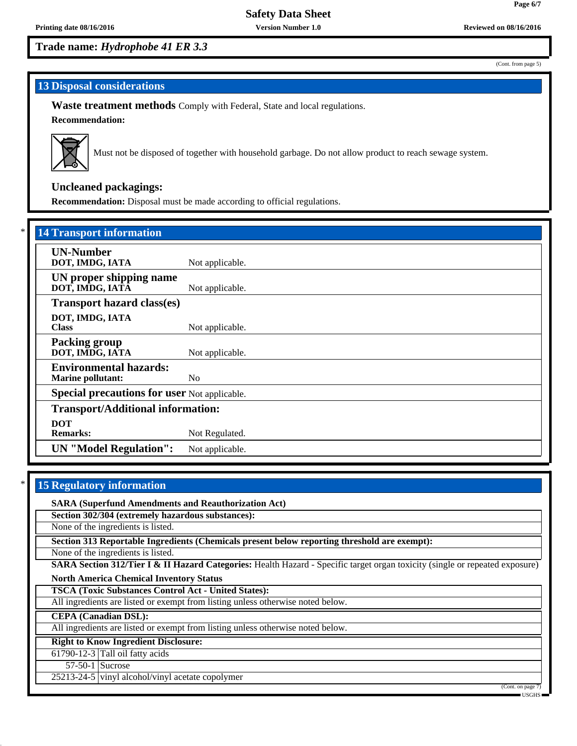**Page 6/7**

(Cont. from page 5)

# **Trade name:** *Hydrophobe 41 ER 3.3*

# **13 Disposal considerations**

**Waste treatment methods** Comply with Federal, State and local regulations.

**Recommendation:**



Must not be disposed of together with household garbage. Do not allow product to reach sewage system.

# **Uncleaned packagings:**

**Recommendation:** Disposal must be made according to official regulations.

| <b>14 Transport information</b>                           |                 |  |
|-----------------------------------------------------------|-----------------|--|
| <b>UN-Number</b><br>DOT, IMDG, IATA                       | Not applicable. |  |
| UN proper shipping name<br>DOT, IMDG, IATA                | Not applicable. |  |
| <b>Transport hazard class(es)</b>                         |                 |  |
| DOT, IMDG, IATA<br><b>Class</b>                           | Not applicable. |  |
| <b>Packing group</b><br>DOT, IMDG, IATA                   | Not applicable. |  |
| <b>Environmental hazards:</b><br><b>Marine pollutant:</b> | N <sub>0</sub>  |  |
| <b>Special precautions for user Not applicable.</b>       |                 |  |
| <b>Transport/Additional information:</b>                  |                 |  |
| <b>DOT</b><br><b>Remarks:</b>                             | Not Regulated.  |  |
| <b>UN</b> "Model Regulation":                             | Not applicable. |  |

# **15 Regulatory information**

**SARA (Superfund Amendments and Reauthorization Act) Section 302/304 (extremely hazardous substances):** None of the ingredients is listed. **Section 313 Reportable Ingredients (Chemicals present below reporting threshold are exempt):** None of the ingredients is listed. **SARA Section 312/Tier I & II Hazard Categories:** Health Hazard - Specific target organ toxicity (single or repeated exposure) **North America Chemical Inventory Status TSCA (Toxic Substances Control Act - United States):** All ingredients are listed or exempt from listing unless otherwise noted below. **CEPA (Canadian DSL):** All ingredients are listed or exempt from listing unless otherwise noted below. **Right to Know Ingredient Disclosure:**  $61790-12-3$  Tall oil fatty acids 57-50-1 Sucrose 25213-24-5 vinyl alcohol/vinyl acetate copolymer (Cont. on page 7)